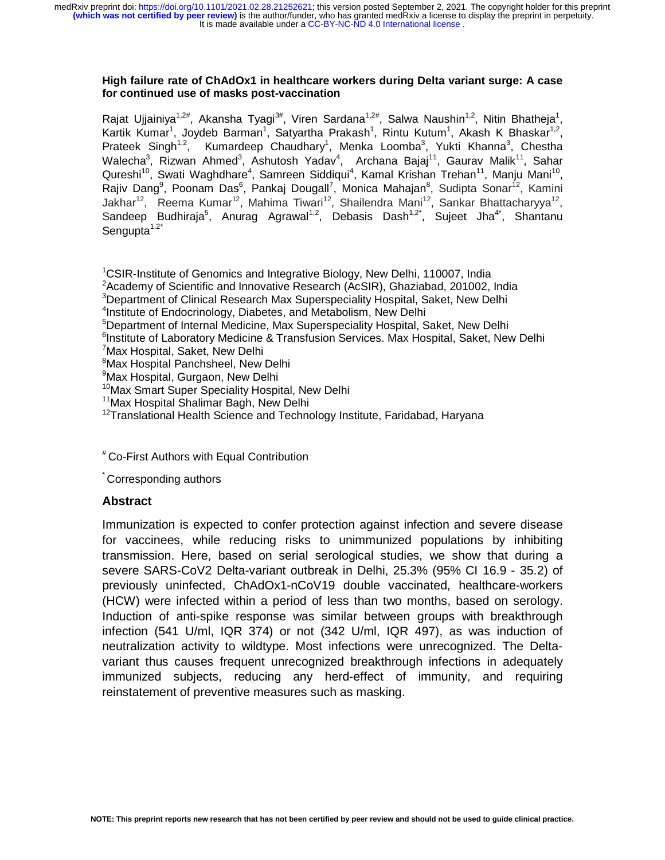It is made available under a CC-BY-NC-ND 4.0 International license. medRxiv preprint doi: [https://doi.org/10.1101/2021.02.28.21252621;](https://doi.org/10.1101/2021.02.28.21252621) this version posted September 2, 2021. The copyright holder for this preprint<br>(which was not certified by peer review) is the author/funder, who has grante

#### **High failure rate of ChAdOx1 in healthcare workers during Delta variant surge: A case for continued use of masks post-vaccination**

Rajat Ujjainiya<sup>1,2#</sup>, Akansha Tyagi<sup>3#</sup>, Viren Sardana<sup>1,2#</sup>, Salwa Naushin<sup>1,2</sup>, Nitin Bhatheja<sup>1</sup>, Kartik Kumar<sup>1</sup>, Joydeb Barman<sup>1</sup>, Satyartha Prakash<sup>1</sup>, Rintu Kutum<sup>1</sup>, Akash K Bhaskar<sup>1,2</sup>, Prateek Singh<sup>1,2</sup>, Kumardeep Chaudhary<sup>1</sup>, Menka Loomba<sup>3</sup>, Yukti Khanna<sup>3</sup>, Chestha Walecha<sup>3</sup>, Rizwan Ahmed<sup>3</sup>, Ashutosh Yadav<sup>4</sup>, Archana Bajaj<sup>11</sup>, Gaurav Malik<sup>11</sup>, Sahar Qureshi<sup>10</sup>, Swati Waghdhare<sup>4</sup>, Samreen Siddiqui<sup>4</sup>, Kamal Krishan Trehan<sup>11</sup>, Manju Mani<sup>10</sup>, Rajiv Dang<sup>9</sup>, Poonam Das<sup>6</sup>, Pankaj Dougall<sup>7</sup>, Monica Mahajan<sup>8</sup>, Sudipta Sonar<sup>12</sup>, Kamini Jakhar<sup>12</sup>, Reema Kumar<sup>12</sup>, Mahima Tiwari<sup>12</sup>, Shailendra Mani<sup>12</sup>, Sankar Bhattacharyya<sup>12</sup>, Sandeep Budhiraja<sup>5</sup>, Anurag Agrawal<sup>1,2</sup>, Debasis Dash<sup>1,2\*</sup>, Sujeet Jha<sup>4\*</sup>, Shantanu Sengupta $1,2^*$ 

<sup>1</sup>CSIR-Institute of Genomics and Integrative Biology, New Delhi, 110007, India <sup>2</sup>Academy of Scientific and Innovative Research (AcSIR), Ghaziabad, 201002, India <sup>3</sup>Department of Clinical Research Max Superspeciality Hospital, Saket, New Delhi <sup>4</sup>Institute of Endocrinology, Diabetes, and Metabolism, New Delhi <sup>5</sup>Department of Internal Medicine, Max Superspeciality Hospital, Saket, New Delhi <sup>6</sup>Institute of Laboratory Medicine & Transfusion Services. Max Hospital, Saket, New Delhi <sup>7</sup>Max Hospital, Saket, New Delhi <sup>8</sup>Max Hospital Panchsheel, New Delhi 9 Max Hospital, Gurgaon, New Delhi <sup>10</sup>Max Smart Super Speciality Hospital, New Delhi <sup>11</sup>Max Hospital Shalimar Bagh, New Delhi

 $12$ Translational Health Science and Technology Institute, Faridabad, Haryana

# Co-First Authors with Equal Contribution

\* Corresponding authors

### **Abstract**

Immunization is expected to confer protection against infection and severe disease for vaccinees, while reducing risks to unimmunized populations by inhibiting transmission. Here, based on serial serological studies, we show that during a severe SARS-CoV2 Delta-variant outbreak in Delhi, 25.3% (95% CI 16.9 - 35.2) of previously uninfected, ChAdOx1-nCoV19 double vaccinated, healthcare-workers (HCW) were infected within a period of less than two months, based on serology. Induction of anti-spike response was similar between groups with breakthrough infection (541 U/ml, IQR 374) or not (342 U/ml, IQR 497), as was induction of neutralization activity to wildtype. Most infections were unrecognized. The Deltavariant thus causes frequent unrecognized breakthrough infections in adequately immunized subjects, reducing any herd-effect of immunity, and requiring reinstatement of preventive measures such as masking.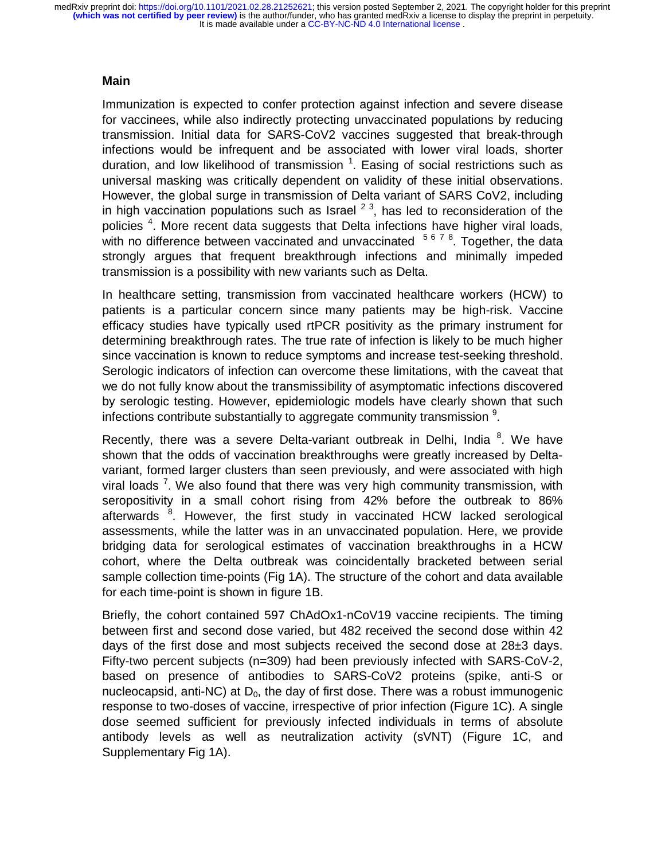It is made available under a CC-BY-NC-ND 4.0 International license. medRxiv preprint doi: [https://doi.org/10.1101/2021.02.28.21252621;](https://doi.org/10.1101/2021.02.28.21252621) this version posted September 2, 2021. The copyright holder for this preprint<br>(which was not certified by peer review) is the author/funder, who has grante

## **Main**

Immunization is expected to confer protection against infection and severe disease for vaccinees, while also indirectly protecting unvaccinated populations by reducing transmission. Initial data for SARS-CoV2 vaccines suggested that break-through infections would be infrequent and be associated with lower viral loads, shorter duration, and low likelihood of transmission  $1$ . Easing of social restrictions such as universal masking was critically dependent on validity of these initial observations. However, the global surge in transmission of Delta variant of SARS CoV2, including in high vaccination populations such as Israel  $2<sup>3</sup>$ , has led to reconsideration of the policies<sup>4</sup>. More recent data suggests that Delta infections have higher viral loads, with no difference between vaccinated and unvaccinated <sup>5678</sup>. Together, the data strongly argues that frequent breakthrough infections and minimally impeded transmission is a possibility with new variants such as Delta.

In healthcare setting, transmission from vaccinated healthcare workers (HCW) to patients is a particular concern since many patients may be high-risk. Vaccine efficacy studies have typically used rtPCR positivity as the primary instrument for determining breakthrough rates. The true rate of infection is likely to be much higher since vaccination is known to reduce symptoms and increase test-seeking threshold. Serologic indicators of infection can overcome these limitations, with the caveat that we do not fully know about the transmissibility of asymptomatic infections discovered by serologic testing. However, epidemiologic models have clearly shown that such infections contribute substantially to aggregate community transmission  $9$ .

Recently, there was a severe Delta-variant outbreak in Delhi, India  $8$ . We have shown that the odds of vaccination breakthroughs were greatly increased by Deltavariant, formed larger clusters than seen previously, and were associated with high viral loads<sup>7</sup>. We also found that there was very high community transmission, with seropositivity in a small cohort rising from 42% before the outbreak to 86% afterwards <sup>8</sup>. However, the first study in vaccinated HCW lacked serological assessments, while the latter was in an unvaccinated population. Here, we provide bridging data for serological estimates of vaccination breakthroughs in a HCW cohort, where the Delta outbreak was coincidentally bracketed between serial sample collection time-points (Fig 1A). The structure of the cohort and data available for each time-point is shown in figure 1B.

Briefly, the cohort contained 597 ChAdOx1-nCoV19 vaccine recipients. The timing between first and second dose varied, but 482 received the second dose within 42 days of the first dose and most subjects received the second dose at  $28\pm3$  days. Fifty-two percent subjects (n=309) had been previously infected with SARS-CoV-2, based on presence of antibodies to SARS-CoV2 proteins (spike, anti-S or nucleocapsid, anti-NC) at  $D_0$ , the day of first dose. There was a robust immunogenic response to two-doses of vaccine, irrespective of prior infection (Figure 1C). A single dose seemed sufficient for previously infected individuals in terms of absolute antibody levels as well as neutralization activity (sVNT) (Figure 1C, and Supplementary Fig 1A).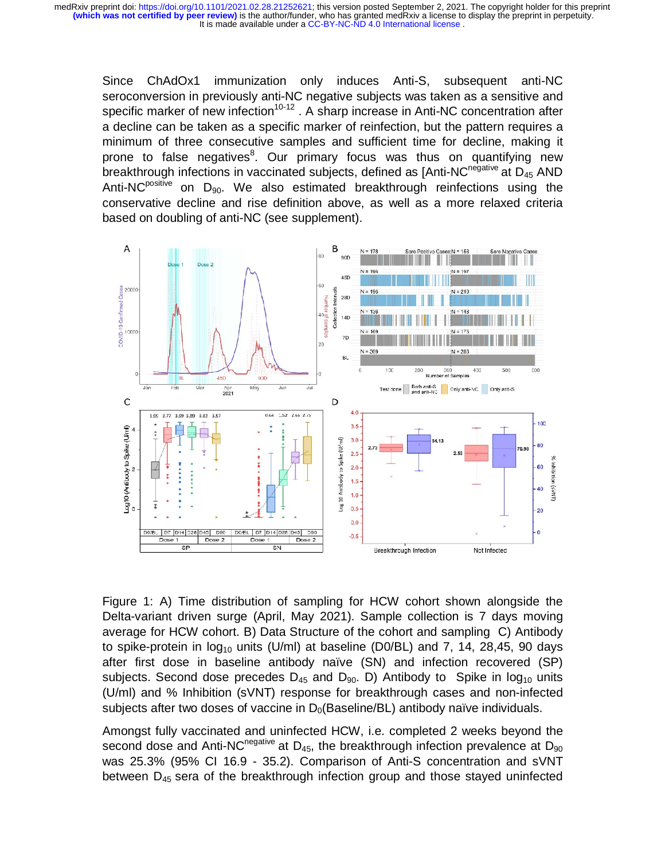Since ChAdOx1 immunization only induces Anti-S, subsequent anti-NC seroconversion in previously anti-NC negative subjects was taken as a sensitive and specific marker of new infection<sup>10-12</sup>. A sharp increase in Anti-NC concentration after a decline can be taken as a specific marker of reinfection, but the pattern requires a minimum of three consecutive samples and sufficient time for decline, making it prone to false negatives<sup>8</sup>. Our primary focus was thus on quantifying new breakthrough infections in vaccinated subjects, defined as  $[Anti-NC<sup>negative</sup>$  at  $D_{45}$  AND Anti-NC<sup>positive</sup> on  $D_{90}$ . We also estimated breakthrough reinfections using the conservative decline and rise definition above, as well as a more relaxed criteria based on doubling of anti-NC (see supplement).



Figure 1: A) Time distribution of sampling for HCW cohort shown alongside the Delta-variant driven surge (April, May 2021). Sample collection is 7 days moving average for HCW cohort. B) Data Structure of the cohort and sampling C) Antibody to spike-protein in  $log_{10}$  units (U/ml) at baseline (D0/BL) and 7, 14, 28,45, 90 days after first dose in baseline antibody naïve (SN) and infection recovered (SP) subjects. Second dose precedes  $D_{45}$  and  $D_{90}$ . D) Antibody to Spike in  $log_{10}$  units (U/ml) and % Inhibition (sVNT) response for breakthrough cases and non-infected subjects after two doses of vaccine in  $D<sub>0</sub>(Baseline/BL)$  antibody naïve individuals.

Amongst fully vaccinated and uninfected HCW, i.e. completed 2 weeks beyond the second dose and Anti-NC<sup>negative</sup> at  $D_{45}$ , the breakthrough infection prevalence at  $D_{90}$ was 25.3% (95% CI 16.9 - 35.2). Comparison of Anti-S concentration and sVNT between  $D_{45}$  sera of the breakthrough infection group and those stayed uninfected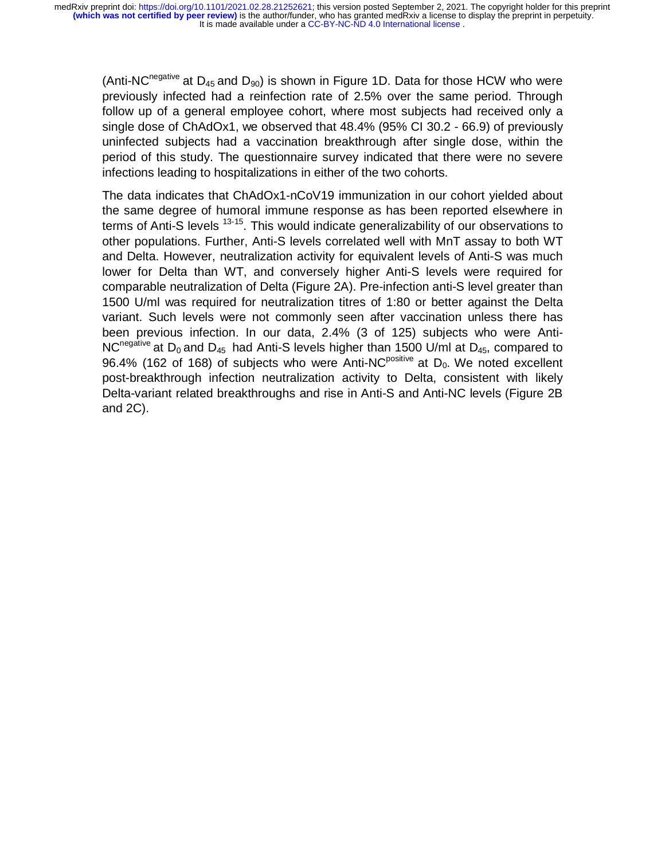It is made available under a CC-BY-NC-ND 4.0 International license. medRxiv preprint doi: [https://doi.org/10.1101/2021.02.28.21252621;](https://doi.org/10.1101/2021.02.28.21252621) this version posted September 2, 2021. The copyright holder for this preprint<br>(which was not certified by peer review) is the author/funder, who has grante

(Anti-NC<sup>negative</sup> at  $D_{45}$  and  $D_{90}$ ) is shown in Figure 1D. Data for those HCW who were previously infected had a reinfection rate of 2.5% over the same period. Through follow up of a general employee cohort, where most subjects had received only a single dose of ChAdOx1, we observed that 48.4% (95% CI 30.2 - 66.9) of previously uninfected subjects had a vaccination breakthrough after single dose, within the period of this study. The questionnaire survey indicated that there were no severe infections leading to hospitalizations in either of the two cohorts.

The data indicates that ChAdOx1-nCoV19 immunization in our cohort yielded about the same degree of humoral immune response as has been reported elsewhere in terms of Anti-S levels <sup>13-15</sup>. This would indicate generalizability of our observations to other populations. Further, Anti-S levels correlated well with MnT assay to both WT and Delta. However, neutralization activity for equivalent levels of Anti-S was much lower for Delta than WT, and conversely higher Anti-S levels were required for comparable neutralization of Delta (Figure 2A). Pre-infection anti-S level greater than 1500 U/ml was required for neutralization titres of 1:80 or better against the Delta variant. Such levels were not commonly seen after vaccination unless there has been previous infection. In our data, 2.4% (3 of 125) subjects who were Anti-NC<sup>negative</sup> at D<sub>0</sub> and D<sub>45</sub> had Anti-S levels higher than 1500 U/ml at D<sub>45</sub>, compared to 96.4% (162 of 168) of subjects who were Anti-NC<sup>positive</sup> at  $D_0$ . We noted excellent post-breakthrough infection neutralization activity to Delta, consistent with likely Delta-variant related breakthroughs and rise in Anti-S and Anti-NC levels (Figure 2B and 2C).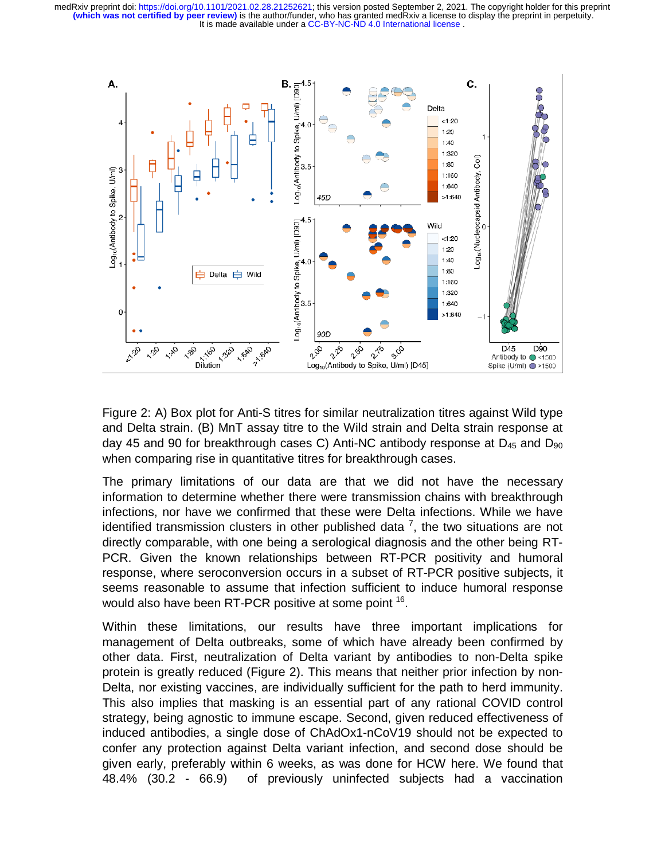

Figure 2: A) Box plot for Anti-S titres for similar neutralization titres against Wild type and Delta strain. (B) MnT assay titre to the Wild strain and Delta strain response at day 45 and 90 for breakthrough cases C) Anti-NC antibody response at  $D_{45}$  and  $D_{90}$ when comparing rise in quantitative titres for breakthrough cases.

The primary limitations of our data are that we did not have the necessary information to determine whether there were transmission chains with breakthrough infections, nor have we confirmed that these were Delta infections. While we have identified transmission clusters in other published data  $^7$ , the two situations are not directly comparable, with one being a serological diagnosis and the other being RT-PCR. Given the known relationships between RT-PCR positivity and humoral response, where seroconversion occurs in a subset of RT-PCR positive subjects, it seems reasonable to assume that infection sufficient to induce humoral response would also have been RT-PCR positive at some point <sup>16</sup>.

Within these limitations, our results have three important implications for management of Delta outbreaks, some of which have already been confirmed by other data. First, neutralization of Delta variant by antibodies to non-Delta spike protein is greatly reduced (Figure 2). This means that neither prior infection by non-Delta, nor existing vaccines, are individually sufficient for the path to herd immunity. This also implies that masking is an essential part of any rational COVID control strategy, being agnostic to immune escape. Second, given reduced effectiveness of induced antibodies, a single dose of ChAdOx1-nCoV19 should not be expected to confer any protection against Delta variant infection, and second dose should be given early, preferably within 6 weeks, as was done for HCW here. We found that 48.4% (30.2 - 66.9) of previously uninfected subjects had a vaccination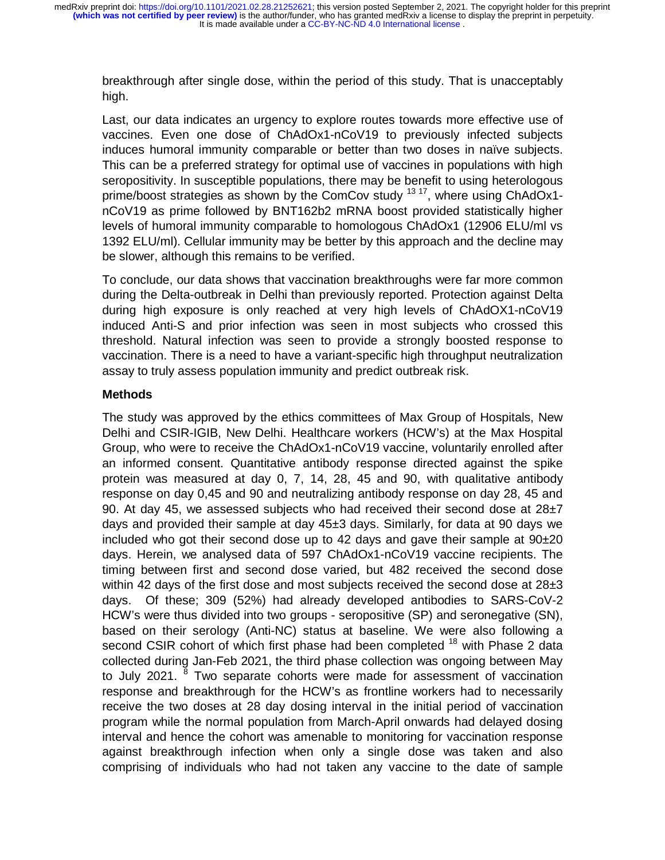breakthrough after single dose, within the period of this study. That is unacceptably high.

Last, our data indicates an urgency to explore routes towards more effective use of vaccines. Even one dose of ChAdOx1-nCoV19 to previously infected subjects induces humoral immunity comparable or better than two doses in naïve subjects. This can be a preferred strategy for optimal use of vaccines in populations with high seropositivity. In susceptible populations, there may be benefit to using heterologous prime/boost strategies as shown by the ComCov study <sup>13 17</sup>, where using ChAdOx1nCoV19 as prime followed by BNT162b2 mRNA boost provided statistically higher levels of humoral immunity comparable to homologous ChAdOx1 (12906 ELU/ml vs 1392 ELU/ml). Cellular immunity may be better by this approach and the decline may be slower, although this remains to be verified.

To conclude, our data shows that vaccination breakthroughs were far more common during the Delta-outbreak in Delhi than previously reported. Protection against Delta during high exposure is only reached at very high levels of ChAdOX1-nCoV19 induced Anti-S and prior infection was seen in most subjects who crossed this threshold. Natural infection was seen to provide a strongly boosted response to vaccination. There is a need to have a variant-specific high throughput neutralization assay to truly assess population immunity and predict outbreak risk.

# **Methods**

The study was approved by the ethics committees of Max Group of Hospitals, New Delhi and CSIR-IGIB, New Delhi. Healthcare workers (HCW's) at the Max Hospital Group, who were to receive the ChAdOx1-nCoV19 vaccine, voluntarily enrolled after an informed consent. Quantitative antibody response directed against the spike protein was measured at day 0, 7, 14, 28, 45 and 90, with qualitative antibody response on day 0,45 and 90 and neutralizing antibody response on day 28, 45 and 90. At day 45, we assessed subjects who had received their second dose at  $28\pm7$ days and provided their sample at day 45±3 days. Similarly, for data at 90 days we included who got their second dose up to 42 days and gave their sample at  $90\pm20$ days. Herein, we analysed data of 597 ChAdOx1-nCoV19 vaccine recipients. The timing between first and second dose varied, but 482 received the second dose within 42 days of the first dose and most subjects received the second dose at  $28\pm3$ days. Of these; 309 (52%) had already developed antibodies to SARS-CoV-2 HCW's were thus divided into two groups - seropositive (SP) and seronegative (SN), based on their serology (Anti-NC) status at baseline. We were also following a second CSIR cohort of which first phase had been completed <sup>18</sup> with Phase 2 data collected during Jan-Feb 2021, the third phase collection was ongoing between May to July 2021. <sup>8</sup> Two separate cohorts were made for assessment of vaccination response and breakthrough for the HCW's as frontline workers had to necessarily receive the two doses at 28 day dosing interval in the initial period of vaccination program while the normal population from March-April onwards had delayed dosing interval and hence the cohort was amenable to monitoring for vaccination response against breakthrough infection when only a single dose was taken and also comprising of individuals who had not taken any vaccine to the date of sample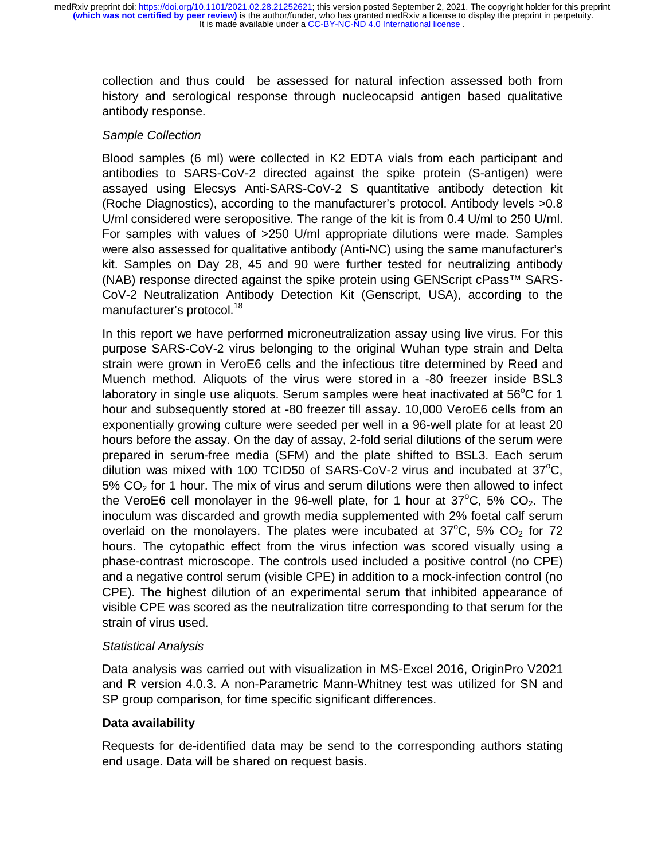collection and thus could be assessed for natural infection assessed both from history and serological response through nucleocapsid antigen based qualitative antibody response.

# *Sample Collection*

Blood samples (6 ml) were collected in K2 EDTA vials from each participant and antibodies to SARS-CoV-2 directed against the spike protein (S-antigen) were assayed using Elecsys Anti-SARS-CoV-2 S quantitative antibody detection kit (Roche Diagnostics), according to the manufacturer's protocol. Antibody levels >0.8 U/ml considered were seropositive. The range of the kit is from 0.4 U/ml to 250 U/ml. For samples with values of >250 U/ml appropriate dilutions were made. Samples were also assessed for qualitative antibody (Anti-NC) using the same manufacturer's kit. Samples on Day 28, 45 and 90 were further tested for neutralizing antibody (NAB) response directed against the spike protein using GENScript cPass™ SARS-CoV-2 Neutralization Antibody Detection Kit (Genscript, USA), according to the manufacturer's protocol.<sup>18</sup>

In this report we have performed microneutralization assay using live virus. For this purpose SARS-CoV-2 virus belonging to the original Wuhan type strain and Delta strain were grown in VeroE6 cells and the infectious titre determined by Reed and Muench method. Aliquots of the virus were stored in a -80 freezer inside BSL3 laboratory in single use aliquots. Serum samples were heat inactivated at  $56^{\circ}$ C for 1 hour and subsequently stored at -80 freezer till assay. 10,000 VeroE6 cells from an exponentially growing culture were seeded per well in a 96-well plate for at least 20 hours before the assay. On the day of assay, 2-fold serial dilutions of the serum were prepared in serum-free media (SFM) and the plate shifted to BSL3. Each serum dilution was mixed with 100 TCID50 of SARS-CoV-2 virus and incubated at  $37^{\circ}$ C,  $5\%$  CO<sub>2</sub> for 1 hour. The mix of virus and serum dilutions were then allowed to infect the VeroE6 cell monolayer in the 96-well plate, for 1 hour at  $37^{\circ}$ C, 5% CO<sub>2</sub>. The inoculum was discarded and growth media supplemented with 2% foetal calf serum overlaid on the monolayers. The plates were incubated at  $37^{\circ}$ C, 5% CO<sub>2</sub> for 72 hours. The cytopathic effect from the virus infection was scored visually using a phase-contrast microscope. The controls used included a positive control (no CPE) and a negative control serum (visible CPE) in addition to a mock-infection control (no CPE). The highest dilution of an experimental serum that inhibited appearance of visible CPE was scored as the neutralization titre corresponding to that serum for the strain of virus used.

## *Statistical Analysis*

Data analysis was carried out with visualization in MS-Excel 2016, OriginPro V2021 and R version 4.0.3. A non-Parametric Mann-Whitney test was utilized for SN and SP group comparison, for time specific significant differences.

# **Data availability**

Requests for de-identified data may be send to the corresponding authors stating end usage. Data will be shared on request basis.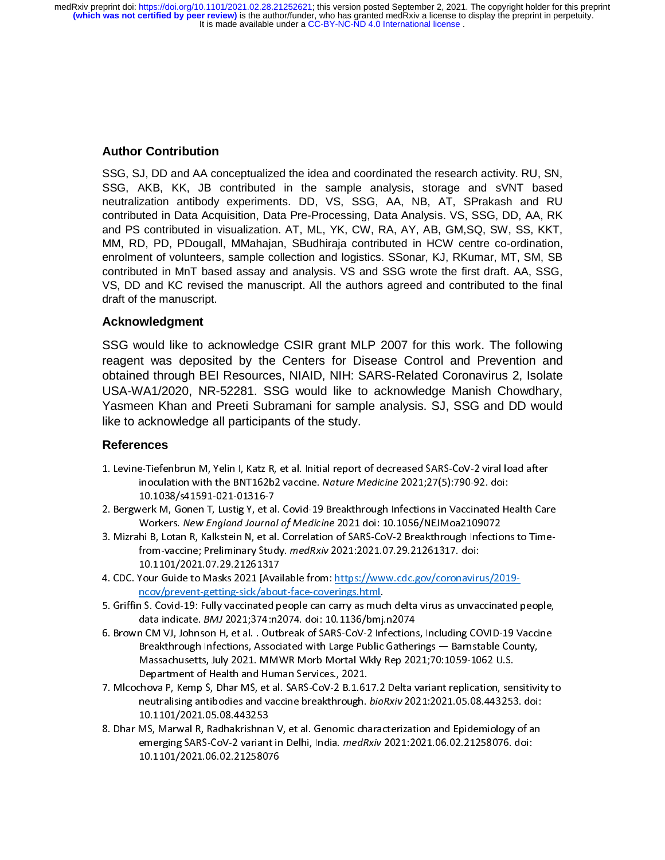## **Author Contribution**

SSG, SJ, DD and AA conceptualized the idea and coordinated the research activity. RU, SN, SSG, AKB, KK, JB contributed in the sample analysis, storage and sVNT based neutralization antibody experiments. DD, VS, SSG, AA, NB, AT, SPrakash and RU contributed in Data Acquisition, Data Pre-Processing, Data Analysis. VS, SSG, DD, AA, RK and PS contributed in visualization. AT, ML, YK, CW, RA, AY, AB, GM,SQ, SW, SS, KKT, MM, RD, PD, PDougall, MMahajan, SBudhiraja contributed in HCW centre co-ordination, enrolment of volunteers, sample collection and logistics. SSonar, KJ, RKumar, MT, SM, SB contributed in MnT based assay and analysis. VS and SSG wrote the first draft. AA, SSG, VS, DD and KC revised the manuscript. All the authors agreed and contributed to the final draft of the manuscript.

## **Acknowledgment**

SSG would like to acknowledge CSIR grant MLP 2007 for this work. The following reagent was deposited by the Centers for Disease Control and Prevention and obtained through BEI Resources, NIAID, NIH: SARS-Related Coronavirus 2, Isolate USA-WA1/2020, NR-52281. SSG would like to acknowledge Manish Chowdhary, Yasmeen Khan and Preeti Subramani for sample analysis. SJ, SSG and DD would like to acknowledge all participants of the study.

### **References**

- 
- 
- inoculation with the BNT162b2 vaccine. Nature Medicine 2021;27(5):790-92. doi:<br>10.1038/s41591-021-01316-7<br>2. Bergwerk M, Gonen T, Lustig Y, et al. Covid-19 Breakthrough Infections in Vaccinated Health Car<br>Workers. New Engl inoculation with the BNT162b2 vaccine. Nature Medicine 2021;27(5):790-92. doi:<br>10.1038/s41591-021-01316-7<br>verk M, Gonen T, Lustig Y, et al. Covid-19 Breakthrough Infections in Vaccinated H<br>Workers. New England Journal of M rerk M, Gonen T, Lustig Y, et al<br>Workers. *New England Journa*.<br>hi B, Lotan R, Kalkstein N, et al<br>from-vaccine; Preliminary Stud<br>10.1101/2021.07.29.21261317<br>Your Guide to Masks 2021 [Ava Workers. New England Journal of Medicine 2021 doi: 10.1056/NEJMoa2109072<br>
2. Mizrahi B, Lotan R, Kalkstein N, et al. Correlation of SARS-CoV-2 Breakthrough Infections to Time-<br>
from-vaccine; Preliminary Study. *medRxiv* 20 Workers. New England Journal of Medicine 2021 doi: 10.1050/NEJMO&2109072<br>hi B, Lotan R, Kalkstein N, et al. Correlation of SARS-CoV-2 Breakthrough Infectio<br>from-vaccine; Preliminary Study. *medRxiv* 2021:2021.07.29.2126131
- from-vaccine; Preliminary Study. *Medikini* 2021.2021.07.29.21201317. doi:<br>10.1101/2021.07.29.21261317<br>Your Guide to Masks 2021 [Available from: <u>https://www.cdc.gov/coronaviru</u><br>ncov/prevent-getting-sick/about-face-coverin
- 
- 3. Mizrahi B, Lotan R, Lotan R, Kalendary R, Andreakthrough Infection of SARS-Coverty B, Herman Coverty Indiana<br>C. Breakthrough Infectional Lettal Continued of SARS-Coverty Infections to the COVID-10 Vection 10.1101/2021.07.29.21261317<br>
4. CDC. Your Guide to Masks 2021 [Available from: https://www.cdc.gov/coronavirus/2019-<br>
ncov/prevent-getting-sick/about-face-coverings.html.<br>
5. Griffin S. Covid-19: Fully vaccinated people ca 1. CDC. CONCRETERT: THE TERNATION CONCRETERT: THE TERNATION CONCRETED THE TERNATION CONCRETED SATISFALL B. S. COVID-19: Fully vaccinated people can carry as much delta virus as unvaccinated data indicate. *BMJ* 2021;374:n2 n S. Covid-19: Fully vaccinated people can carry as muc<br>data indicate. *BMJ* 2021;374:n2074. doi: 10.1136/bmj.<br>n CM VJ, Johnson H, et al. . Outbreak of SARS-CoV-2 Inf<br>Breakthrough Infections, Associated with Large Public<br>M 5. Shown CM VJ, Johnson H, et al. . Outbreak of SARS-CoV-2 Infections, Including COVID-19 Vaccine<br>
Breakthrough Infections, Associated with Large Public Gatherings — Barnstable County,<br>
Massachusetts, July 2021. MMWR Morb data indicate. BMJ 2021;374:n2074. doi: 10.1136/bmj.n2074<br>n CM VJ, Johnson H, et al. . Outbreak of SARS-CoV-2 Infections<br>Breakthrough Infections, Associated with Large Public Gather<br>Massachusetts, July 2021. MMWR Morb Mort
- Department of Health and Human Services., 2021.<br>7. Mlcochova P, Kemp S, Dhar MS, et al. SARS-CoV-2 B.1.617.2 Delta variant replication, sensitivity to<br>10.1101/2021.05.08.443253<br>10.1101/2021.05.08.443253 Massachusetts, July 2021. MMWR Morb Mortal Wkly Rep 2021;70:1059-1062 U.S.<br>Department of Health and Human Services., 2021.<br>.hova P, Kemp S, Dhar MS, et al. SARS-CoV-2 B.1.617.2 Delta variant replication, sensitivi<br>neutrali Department of Health and Human Services., 2021.<br>Chova P, Kemp S, Dhar MS, et al. SARS-CoV-2 B.1.617.2 Delta variant replication, ser<br>neutralising antibodies and vaccine breakthrough. *bioRxiv* 2021:2021.05.08.443253<br>10.110 chova P, Kemp S, Dhar MS, et al. SARS-CoV-2 B.1.61<br>neutralising antibodies and vaccine breakthrough.<br>10.1101/2021.05.08.443253<br>MS, Marwal R, Radhakrishnan V, et al. Genomic cha<br>emerging SARS-CoV-2 variant in Delhi, India.
- 9. Muslim P, Martin Delhi, Marcochova P, Analysis P, Captainan P, Andronic Communication P, Consequence 2011<br>10.1101/2021.05.08.443253<br>10.1101/2021.05.08.443253<br>10.1101/2021.06.02.2 Variant in Delhi, India. *medRxiv* 2021: neutralising antibodies and vaccine breakthrough. bionary 2021.2021.05.00.443253. doi:<br>10.1101/2021.05.08.443253<br>MS, Marwal R, Radhakrishnan V, et al. Genomic characterization and Epidemiology of an<br>emerging SARS-CoV-2 var -<br>MS, Marwal R, Radhakrishnai<br>emerging SARS-CoV-2 variant<br>10.1101/2021.06.02.2125807<br>-8. Dhar Mary Markola, Marwal Radhalamakrish, Petan Centeral Radhakrishnan Mara-processory, 2021.<br>
8. Benerging SARS-CoV-2 variant in Delhi, India. *medRxiv* 2021:2021.06.02.21258076. doi:<br>
8. 10.1101/2021.06.02.21258076 emerging SARS-Cov-2 variant in Delhi, India. *medRXiv* 2021.2021.06.02.21258076. doi:<br>10.1101/2021.06.02.21258076 10.1101.1101.1101.1101.1101.<br>10.12.21258076.02.21258076.02.21258076.02.21258076.02.21258076.02.21258076.02.21<br>10.12.21258076.02.21258076.02.21258076.02.21258076.02.21258076.02.21258076.02.2125